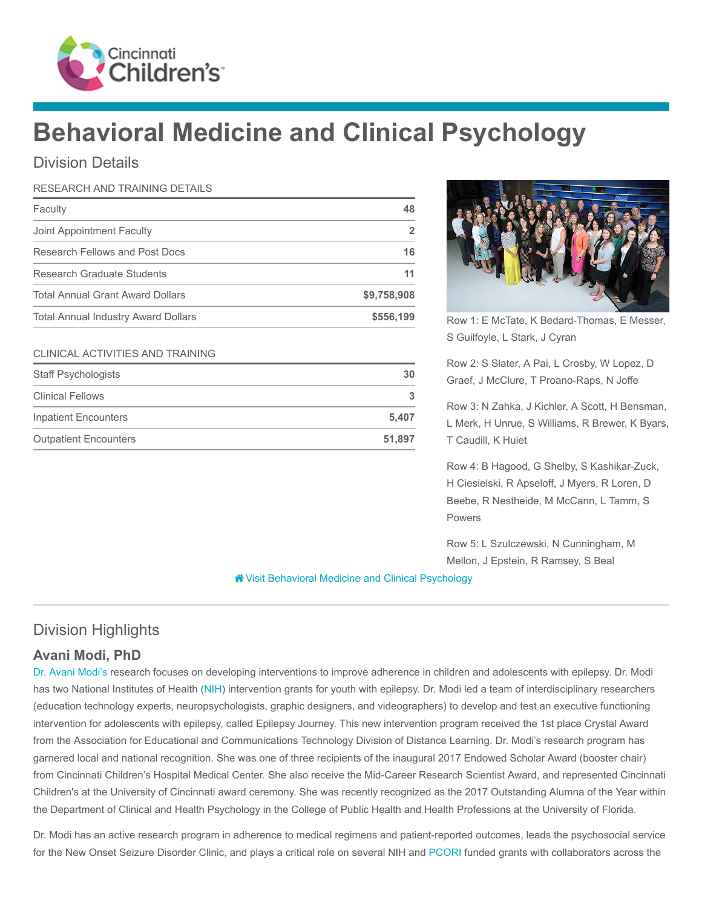

# Behavioral Medicine and Clinical Psychology

## Division Details

#### RESEARCH AND TRAINING DETAILS

| Faculty                                    | 48          |
|--------------------------------------------|-------------|
| Joint Appointment Faculty                  |             |
| Research Fellows and Post Docs             | 16          |
| Research Graduate Students                 | 11          |
| <b>Total Annual Grant Award Dollars</b>    | \$9,758,908 |
| <b>Total Annual Industry Award Dollars</b> | \$556,199   |

#### CLINICAL ACTIVITIES AND TRAINING

| <b>Staff Psychologists</b>   | 30     |
|------------------------------|--------|
| <b>Clinical Fellows</b>      | 3      |
| <b>Inpatient Encounters</b>  | 5.407  |
| <b>Outpatient Encounters</b> | 51.897 |



Row 1: E McTate, K Bedard-Thomas, E Messer, S Guilfoyle, L Stark, J Cyran

Row 2: S Slater, A Pai, L Crosby, W Lopez, D Graef, J McClure, T Proano-Raps, N Joffe

Row 3: N Zahka, J Kichler, A Scott, H Bensman, L Merk, H Unrue, S Williams, R Brewer, K Byars, T Caudill, K Huiet

Row 4: B Hagood, G Shelby, S Kashikar-Zuck, H Ciesielski, R Apseloff, J Myers, R Loren, D Beebe, R Nestheide, M McCann, L Tamm, S Powers

Row 5: L Szulczewski, N Cunningham, M Mellon, J Epstein, R Ramsey, S Beal

**\*** [Visit Behavioral Medicine and Clinical Psychology](https://www.cincinnatichildrens.org/research/divisions/b/psychology)

## Division Highlights

## Avani Modi, PhD

[Dr. Avani Modi's](https://www.cincinnatichildrens.org/bio/m/avani-modi) research focuses on developing interventions to improve adherence in children and adolescents with epilepsy. Dr. Modi has two National Institutes of Health ([NIH](https://www.nih.gov/)) intervention grants for youth with epilepsy. Dr. Modi led a team of interdisciplinary researchers (education technology experts, neuropsychologists, graphic designers, and videographers) to develop and test an executive functioning intervention for adolescents with epilepsy, called Epilepsy Journey. This new intervention program received the 1st place Crystal Award from the Association for Educational and Communications Technology Division of Distance Learning. Dr. Modi's research program has garnered local and national recognition. She was one of three recipients of the inaugural 2017 Endowed Scholar Award (booster chair) from Cincinnati Children's Hospital Medical Center. She also receive the Mid-Career Research Scientist Award, and represented Cincinnati Children's at the University of Cincinnati award ceremony. She was recently recognized as the 2017 Outstanding Alumna of the Year within the Department of Clinical and Health Psychology in the College of Public Health and Health Professions at the University of Florida.

Dr. Modi has an active research program in adherence to medical regimens and patient-reported outcomes, leads the psychosocial service for the New Onset Seizure Disorder Clinic, and plays a critical role on several NIH and [PCORI](https://www.pcori.org/) funded grants with collaborators across the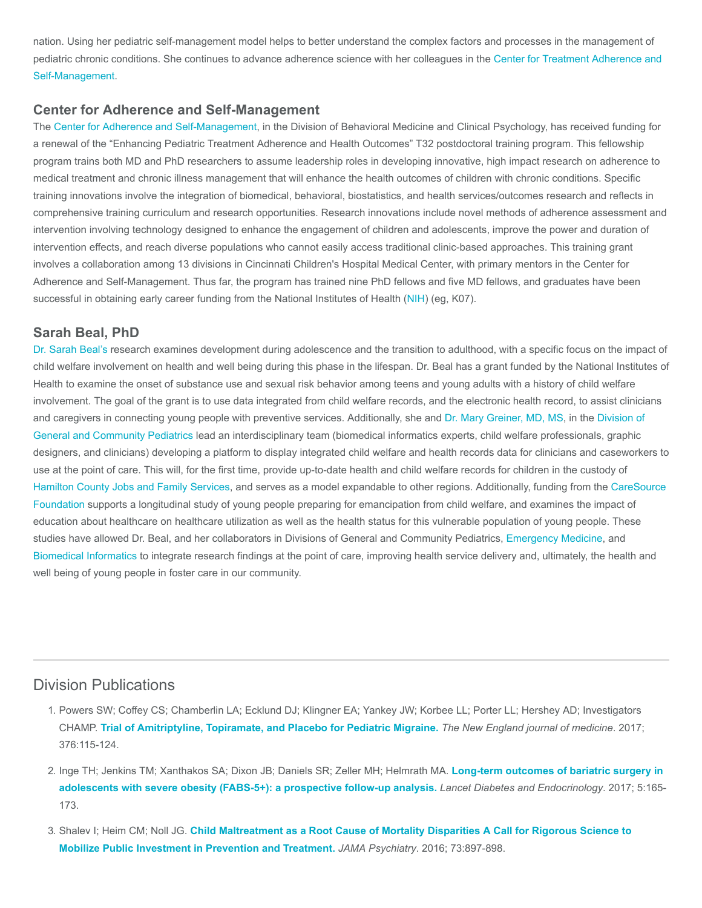nation. Using her pediatric self-management model helps to better understand the complex factors and processes in the management of [pediatric chronic conditions. She continues to advance adherence science with her colleagues in the Center for Treatment Adherence and](https://www.cincinnatichildrens.org/research/divisions/c/adherence) Self-Management.

#### Center for Adherence and Self-Management

The [Center for Adherence and Self-Management](https://www.cincinnatichildrens.org/research/divisions/c/adherence), in the Division of Behavioral Medicine and Clinical Psychology, has received funding for a renewal of the "Enhancing Pediatric Treatment Adherence and Health Outcomes" T32 postdoctoral training program. This fellowship program trains both MD and PhD researchers to assume leadership roles in developing innovative, high impact research on adherence to medical treatment and chronic illness management that will enhance the health outcomes of children with chronic conditions. Specific training innovations involve the integration of biomedical, behavioral, biostatistics, and health services/outcomes research and reflects in comprehensive training curriculum and research opportunities. Research innovations include novel methods of adherence assessment and intervention involving technology designed to enhance the engagement of children and adolescents, improve the power and duration of intervention effects, and reach diverse populations who cannot easily access traditional clinic-based approaches. This training grant involves a collaboration among 13 divisions in Cincinnati Children's Hospital Medical Center, with primary mentors in the Center for Adherence and Self-Management. Thus far, the program has trained nine PhD fellows and five MD fellows, and graduates have been successful in obtaining early career funding from the National Institutes of Health ([NIH\)](https://www.nih.gov/) (eg, K07).

#### Sarah Beal, PhD

[Dr. Sarah Beal's](https://www.cincinnatichildrens.org/bio/b/sarah-beal) research examines development during adolescence and the transition to adulthood, with a specific focus on the impact of child welfare involvement on health and well being during this phase in the lifespan. Dr. Beal has a grant funded by the National Institutes of Health to examine the onset of substance use and sexual risk behavior among teens and young adults with a history of child welfare involvement. The goal of the grant is to use data integrated from child welfare records, and the electronic health record, to assist clinicians [and caregivers in connecting young people with preventive services. Additionally, she and](https://www.cincinnatichildrens.org/research/divisions/g/pediatrics) [Dr. Mary Greiner, MD, MS](https://www.cincinnatichildrens.org/bio/g/mary-greiner)[, in the Division of](https://www.cincinnatichildrens.org/research/divisions/g/pediatrics) General and Community Pediatrics lead an interdisciplinary team (biomedical informatics experts, child welfare professionals, graphic designers, and clinicians) developing a platform to display integrated child welfare and health records data for clinicians and caseworkers to use at the point of care. This will, for the first time, provide up-to-date health and child welfare records for children in the custody of [Hamilton County Jobs and Family Services](https://www.hcjfs.org/)[, and serves as a model expandable to other regions. Additionally, funding from the CareSource](https://www.caresource.com/about-us/corporate-information/caresource-foundation/) Foundation supports a longitudinal study of young people preparing for emancipation from child welfare, and examines the impact of education about healthcare on healthcare utilization as well as the health status for this vulnerable population of young people. These studies have allowed Dr. Beal, and her collaborators in Divisions of General and Community Pediatrics, [Emergency Medicine,](https://www.cincinnatichildrens.org/research/divisions/e/emergency) and [Biomedical Informatics](https://www.cincinnatichildrens.org/research/divisions/b/bmi) to integrate research findings at the point of care, improving health service delivery and, ultimately, the health and well being of young people in foster care in our community.

## Division Publications

- 1. Powers SW; Coffey CS; Chamberlin LA; Ecklund DJ; Klingner EA; Yankey JW; Korbee LL; Porter LL; Hershey AD; Investigators CHAMP. [Trial of Amitriptyline, Topiramate, and Placebo for Pediatric Migraine.](https://www.ncbi.nlm.nih.gov/pubmed/27788026) The New England journal of medicine. 2017; 376:115-124.
- 2. [Inge TH; Jenkins TM; Xanthakos SA; Dixon JB; Daniels SR; Zeller MH; Helmrath MA.](https://www.ncbi.nlm.nih.gov/pubmed/28065736) Long-term outcomes of bariatric surgery in adolescents with severe obesity (FABS-5+): a prospective follow-up analysis. Lancet Diabetes and Endocrinology. 2017; 5:165-173.
- 3. Shalev I; Heim CM; Noll JG. [Child Maltreatment as a Root Cause of Mortality Disparities A Call for Rigorous Science to](https://www.ncbi.nlm.nih.gov/pubmed/27552469) Mobilize Public Investment in Prevention and Treatment. JAMA Psychiatry. 2016; 73:897-898.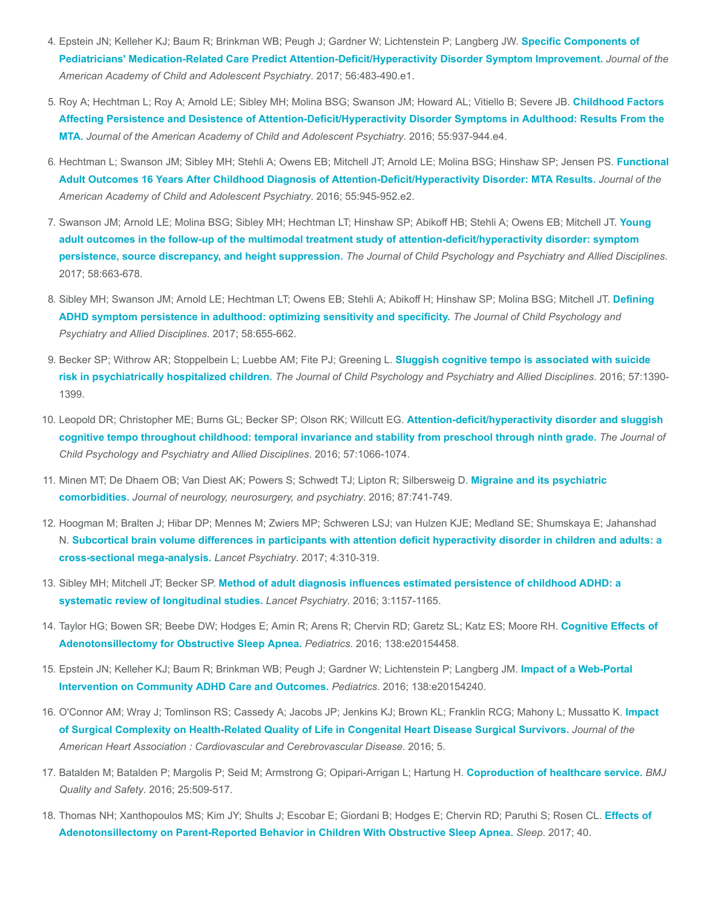- 4. Epstein JN; Kelleher KJ; Baum R; Brinkman WB; Peugh J; Gardner W; Lichtenstein P; Langberg JW. Specific Components of [Pediatricians' Medication-Related Care Predict Attention-Deficit/Hyperactivity Disorder Symptom Improvement.](https://www.ncbi.nlm.nih.gov/pubmed/28545753) Journal of the American Academy of Child and Adolescent Psychiatry. 2017; 56:483-490.e1.
- 5. Roy A; Hechtman L; Roy A; Arnold LE; Sibley MH; Molina BSG; Swanson JM; Howard AL; Vitiello B; Severe JB. Childhood Factors [Affecting Persistence and Desistence of Attention-Deficit/Hyperactivity Disorder Symptoms in Adulthood: Results From the](https://www.ncbi.nlm.nih.gov/pubmed/27806861) MTA. Journal of the American Academy of Child and Adolescent Psychiatry. 2016; 55:937-944.e4.
- 6. [Hechtman L; Swanson JM; Sibley MH; Stehli A; Owens EB; Mitchell JT; Arnold LE; Molina BSG; Hinshaw SP; Jensen PS.](https://www.ncbi.nlm.nih.gov/pubmed/27806862) Functional Adult Outcomes 16 Years After Childhood Diagnosis of Attention-Deficit/Hyperactivity Disorder: MTA Results. Journal of the American Academy of Child and Adolescent Psychiatry. 2016; 55:945-952.e2.
- 7. Swanson JM; Arnold LE; Molina BSG; Sibley MH; Hechtman LT; Hinshaw SP; Abikoff HB; Stehli A; Owens EB; Mitchell JT. Young [adult outcomes in the follow-up of the multimodal treatment study of attention-deficit/hyperactivity disorder: symptom](https://www.ncbi.nlm.nih.gov/pubmed/28295312) persistence, source discrepancy, and height suppression. The Journal of Child Psychology and Psychiatry and Allied Disciplines. 2017; 58:663-678.
- 8. [Sibley MH; Swanson JM; Arnold LE; Hechtman LT; Owens EB; Stehli A; Abikoff H; Hinshaw SP; Molina BSG; Mitchell JT.](https://www.ncbi.nlm.nih.gov/pubmed/27642116) Defining ADHD symptom persistence in adulthood: optimizing sensitivity and specificity. The Journal of Child Psychology and Psychiatry and Allied Disciplines. 2017; 58:655-662.
- 9. [Becker SP; Withrow AR; Stoppelbein L; Luebbe AM; Fite PJ; Greening L.](https://www.ncbi.nlm.nih.gov/pubmed/27245482) Sluggish cognitive tempo is associated with suicide risk in psychiatrically hospitalized children. The Journal of Child Psychology and Psychiatry and Allied Disciplines. 2016; 57:1390-1399.
- 10. Leopold DR; Christopher ME; Burns GL; Becker SP; Olson RK; Willcutt EG. Attention-deficit/hyperactivity disorder and sluggish [cognitive tempo throughout childhood: temporal invariance and stability from preschool through ninth grade.](https://www.ncbi.nlm.nih.gov/pubmed/26749438) The Journal of Child Psychology and Psychiatry and Allied Disciplines. 2016; 57:1066-1074.
- 11. [Minen MT; De Dhaem OB; Van Diest AK; Powers S; Schwedt TJ; Lipton R; Silbersweig D.](https://www.ncbi.nlm.nih.gov/pubmed/26733600) Migraine and its psychiatric comorbidities. Journal of neurology, neurosurgery, and psychiatry. 2016; 87:741-749.
- 12. Hoogman M; Bralten J; Hibar DP; Mennes M; Zwiers MP; Schweren LSJ; van Hulzen KJE; Medland SE; Shumskaya E; Jahanshad N. [Subcortical brain volume differences in participants with attention deficit hyperactivity disorder in children and adults: a](https://www.ncbi.nlm.nih.gov/pubmed/28219628) cross-sectional mega-analysis. Lancet Psychiatry. 2017; 4:310-319.
- 13. Sibley MH; Mitchell JT; Becker SP. [Method of adult diagnosis influences estimated persistence of childhood ADHD: a](https://www.ncbi.nlm.nih.gov/pubmed/27745869) systematic review of longitudinal studies. Lancet Psychiatry. 2016; 3:1157-1165.
- 14. [Taylor HG; Bowen SR; Beebe DW; Hodges E; Amin R; Arens R; Chervin RD; Garetz SL; Katz ES; Moore RH.](https://www.ncbi.nlm.nih.gov/pubmed/27464674) Cognitive Effects of Adenotonsillectomy for Obstructive Sleep Apnea. Pediatrics. 2016; 138:e20154458.
- 15. [Epstein JN; Kelleher KJ; Baum R; Brinkman WB; Peugh J; Gardner W; Lichtenstein P; Langberg JM.](https://www.ncbi.nlm.nih.gov/pubmed/27462065) Impact of a Web-Portal Intervention on Community ADHD Care and Outcomes. Pediatrics. 2016; 138:e20154240.
- 16. [O'Connor AM; Wray J; Tomlinson RS; Cassedy A; Jacobs JP; Jenkins KJ; Brown KL; Franklin RCG; Mahony L; Mussatto K.](https://www.ncbi.nlm.nih.gov/pubmed/27451455) Impact of Surgical Complexity on Health-Related Quality of Life in Congenital Heart Disease Surgical Survivors. Journal of the American Heart Association : Cardiovascular and Cerebrovascular Disease. 2016; 5.
- 17. Batalden M; Batalden P; Margolis P; Seid M; Armstrong G; Opipari-Arrigan L; Hartung H. [Coproduction of healthcare service.](https://www.ncbi.nlm.nih.gov/pubmed/26376674) BMJ Quality and Safety. 2016; 25:509-517.
- 18. [Thomas NH; Xanthopoulos MS; Kim JY; Shults J; Escobar E; Giordani B; Hodges E; Chervin RD; Paruthi S; Rosen CL.](https://www.ncbi.nlm.nih.gov/pubmed/28199697) Effects of Adenotonsillectomy on Parent-Reported Behavior in Children With Obstructive Sleep Apnea. Sleep. 2017; 40.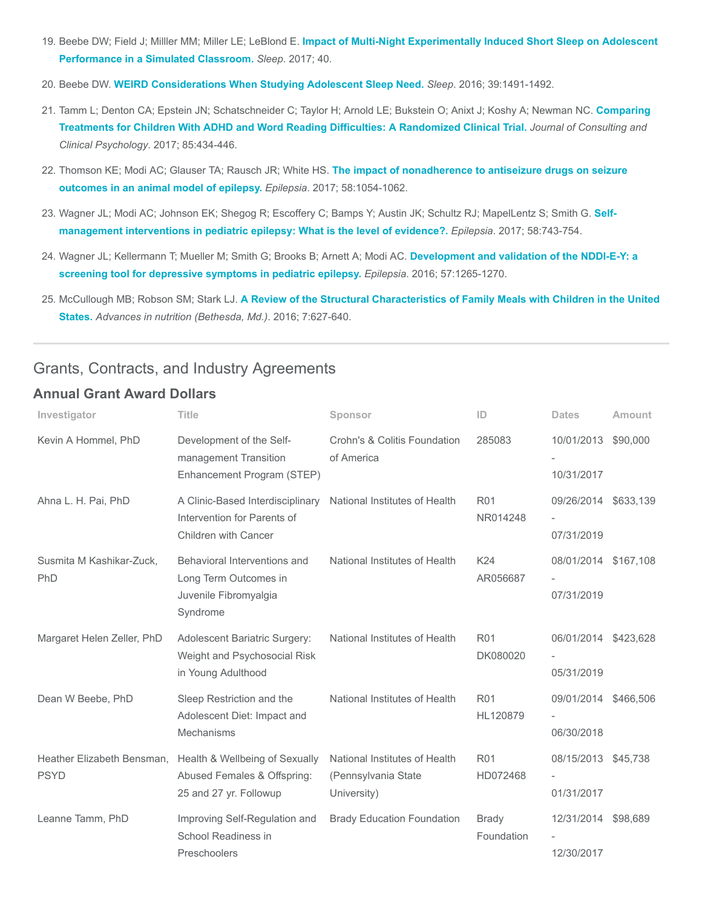- 19. Beebe DW; Field J; Milller MM; Miller LE; LeBlond E. [Impact of Multi-Night Experimentally Induced Short Sleep on Adolescent](https://www.ncbi.nlm.nih.gov/pubmed/28364497) Performance in a Simulated Classroom. Sleep. 2017; 40.
- 20. Beebe DW. [WEIRD Considerations When Studying Adolescent Sleep Need.](https://www.ncbi.nlm.nih.gov/pubmed/27397565) Sleep. 2016; 39:1491-1492.
- 21. [Tamm L; Denton CA; Epstein JN; Schatschneider C; Taylor H; Arnold LE; Bukstein O; Anixt J; Koshy A; Newman NC.](https://www.ncbi.nlm.nih.gov/pubmed/28333510) Comparing Treatments for Children With ADHD and Word Reading Difficulties: A Randomized Clinical Trial. Journal of Consulting and Clinical Psychology. 2017; 85:434-446.
- 22. Thomson KE; Modi AC; Glauser TA; Rausch JR; White HS. [The impact of nonadherence to antiseizure drugs on seizure](https://www.ncbi.nlm.nih.gov/pubmed/28401980) outcomes in an animal model of epilepsy. Epilepsia. 2017; 58:1054-1062.
- 23. [Wagner JL; Modi AC; Johnson EK; Shegog R; Escoffery C; Bamps Y; Austin JK; Schultz RJ; MapelLentz S; Smith G.](https://www.ncbi.nlm.nih.gov/pubmed/28233908) Selfmanagement interventions in pediatric epilepsy: What is the level of evidence?. Epilepsia. 2017; 58:743-754.
- 24. [Wagner JL; Kellermann T; Mueller M; Smith G; Brooks B; Arnett A; Modi AC.](https://www.ncbi.nlm.nih.gov/pubmed/27354177) Development and validation of the NDDI-E-Y: a screening tool for depressive symptoms in pediatric epilepsy. Epilepsia. 2016; 57:1265-1270.
- 25. McCullough MB; Robson SM; Stark LJ. [A Review of the Structural Characteristics of Family Meals with Children in the United](https://www.ncbi.nlm.nih.gov/pubmed/27422500) States. Advances in nutrition (Bethesda, Md.). 2016; 7:627-640.

## Grants, Contracts, and Industry Agreements

#### Annual Grant Award Dollars

| Investigator                              | <b>Title</b>                                                                               | Sponsor                                                             | ID                         | <b>Dates</b>                       | Amount    |
|-------------------------------------------|--------------------------------------------------------------------------------------------|---------------------------------------------------------------------|----------------------------|------------------------------------|-----------|
| Kevin A Hommel, PhD                       | Development of the Self-<br>management Transition<br>Enhancement Program (STEP)            | Crohn's & Colitis Foundation<br>of America                          | 285083                     | 10/01/2013 \$90,000<br>10/31/2017  |           |
| Ahna L. H. Pai, PhD                       | A Clinic-Based Interdisciplinary<br>Intervention for Parents of<br>Children with Cancer    | National Institutes of Health                                       | <b>R01</b><br>NR014248     | 09/26/2014 \$633,139<br>07/31/2019 |           |
| Susmita M Kashikar-Zuck,<br>PhD           | Behavioral Interventions and<br>Long Term Outcomes in<br>Juvenile Fibromyalgia<br>Syndrome | National Institutes of Health                                       | K24<br>AR056687            | 08/01/2014 \$167,108<br>07/31/2019 |           |
| Margaret Helen Zeller, PhD                | Adolescent Bariatric Surgery:<br>Weight and Psychosocial Risk<br>in Young Adulthood        | National Institutes of Health                                       | <b>R01</b><br>DK080020     | 06/01/2014 \$423,628<br>05/31/2019 |           |
| Dean W Beebe, PhD                         | Sleep Restriction and the<br>Adolescent Diet: Impact and<br><b>Mechanisms</b>              | National Institutes of Health                                       | <b>R01</b><br>HL120879     | 09/01/2014<br>06/30/2018           | \$466,506 |
| Heather Elizabeth Bensman.<br><b>PSYD</b> | Health & Wellbeing of Sexually<br>Abused Females & Offspring:<br>25 and 27 yr. Followup    | National Institutes of Health<br>(Pennsylvania State<br>University) | <b>R01</b><br>HD072468     | 08/15/2013 \$45,738<br>01/31/2017  |           |
| Leanne Tamm, PhD                          | Improving Self-Regulation and<br>School Readiness in<br>Preschoolers                       | <b>Brady Education Foundation</b>                                   | <b>Brady</b><br>Foundation | 12/31/2014 \$98,689<br>12/30/2017  |           |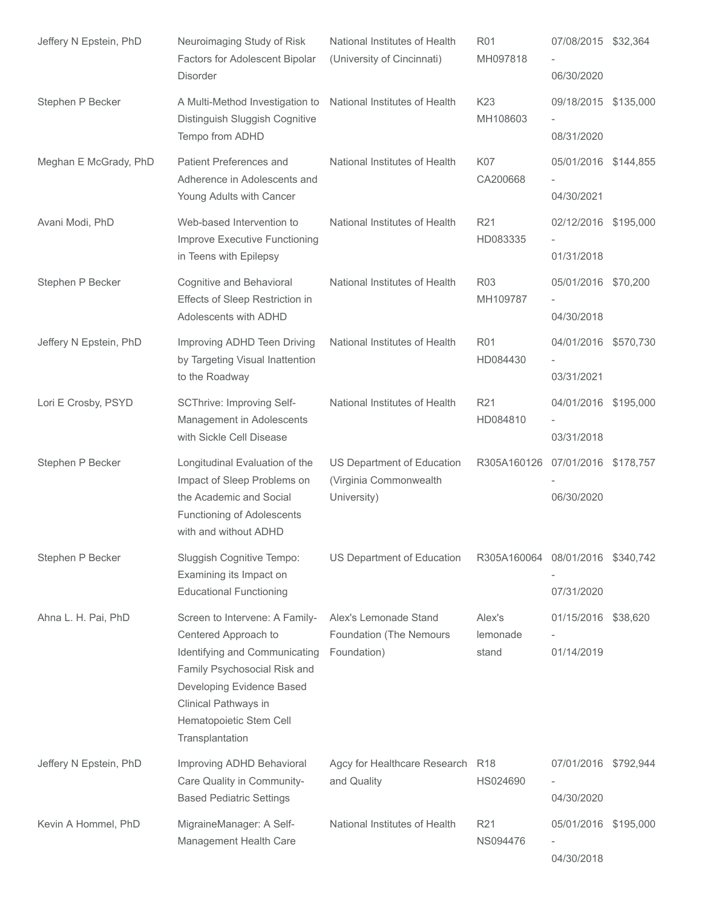| Jeffery N Epstein, PhD | Neuroimaging Study of Risk<br>Factors for Adolescent Bipolar<br><b>Disorder</b>                                                                                  | National Institutes of Health<br>(University of Cincinnati) | <b>R01</b><br>MH097818           | 07/08/2015 \$32,364<br>06/30/2020  |  |
|------------------------|------------------------------------------------------------------------------------------------------------------------------------------------------------------|-------------------------------------------------------------|----------------------------------|------------------------------------|--|
| Stephen P Becker       | A Multi-Method Investigation to<br>Distinguish Sluggish Cognitive                                                                                                | National Institutes of Health                               | K <sub>23</sub><br>MH108603      | 09/18/2015 \$135,000               |  |
|                        | Tempo from ADHD                                                                                                                                                  |                                                             |                                  | 08/31/2020                         |  |
| Meghan E McGrady, PhD  | Patient Preferences and<br>Adherence in Adolescents and<br>Young Adults with Cancer                                                                              | National Institutes of Health                               | <b>K07</b><br>CA200668           | 05/01/2016 \$144,855<br>04/30/2021 |  |
| Avani Modi, PhD        | Web-based Intervention to<br>Improve Executive Functioning<br>in Teens with Epilepsy                                                                             | National Institutes of Health                               | R <sub>21</sub><br>HD083335      | 02/12/2016 \$195,000<br>01/31/2018 |  |
| Stephen P Becker       | Cognitive and Behavioral<br>Effects of Sleep Restriction in<br>Adolescents with ADHD                                                                             | National Institutes of Health                               | R <sub>03</sub><br>MH109787      | 05/01/2016 \$70,200<br>04/30/2018  |  |
| Jeffery N Epstein, PhD | Improving ADHD Teen Driving<br>by Targeting Visual Inattention<br>to the Roadway                                                                                 | National Institutes of Health                               | <b>R01</b><br>HD084430           | 04/01/2016 \$570,730<br>03/31/2021 |  |
| Lori E Crosby, PSYD    | SCThrive: Improving Self-                                                                                                                                        | National Institutes of Health                               | R <sub>21</sub>                  | 04/01/2016 \$195,000               |  |
|                        | Management in Adolescents<br>with Sickle Cell Disease                                                                                                            |                                                             | HD084810                         | 03/31/2018                         |  |
| Stephen P Becker       | Longitudinal Evaluation of the<br>Impact of Sleep Problems on                                                                                                    | US Department of Education<br>(Virginia Commonwealth        | R305A160126                      | 07/01/2016 \$178,757               |  |
|                        | the Academic and Social<br>Functioning of Adolescents<br>with and without ADHD                                                                                   | University)                                                 |                                  | 06/30/2020                         |  |
| Stephen P Becker       | Sluggish Cognitive Tempo:<br>Examining its Impact on<br><b>Educational Functioning</b>                                                                           | US Department of Education                                  | R305A160064 08/01/2016 \$340,742 | 07/31/2020                         |  |
| Ahna L. H. Pai, PhD    | Screen to Intervene: A Family-                                                                                                                                   | Alex's Lemonade Stand                                       | Alex's                           | 01/15/2016 \$38,620                |  |
|                        | Centered Approach to                                                                                                                                             | Foundation (The Nemours                                     | lemonade                         |                                    |  |
|                        | Identifying and Communicating<br>Family Psychosocial Risk and<br>Developing Evidence Based<br>Clinical Pathways in<br>Hematopoietic Stem Cell<br>Transplantation | Foundation)                                                 | stand                            | 01/14/2019                         |  |
| Jeffery N Epstein, PhD | Improving ADHD Behavioral<br>Care Quality in Community-                                                                                                          | Agcy for Healthcare Research<br>and Quality                 | <b>R18</b><br>HS024690           | 07/01/2016 \$792,944               |  |
|                        | <b>Based Pediatric Settings</b>                                                                                                                                  |                                                             |                                  | 04/30/2020                         |  |
| Kevin A Hommel, PhD    | MigraineManager: A Self-<br>Management Health Care                                                                                                               | National Institutes of Health                               | R21<br>NS094476                  | 05/01/2016 \$195,000               |  |
|                        |                                                                                                                                                                  |                                                             |                                  | 04/30/2018                         |  |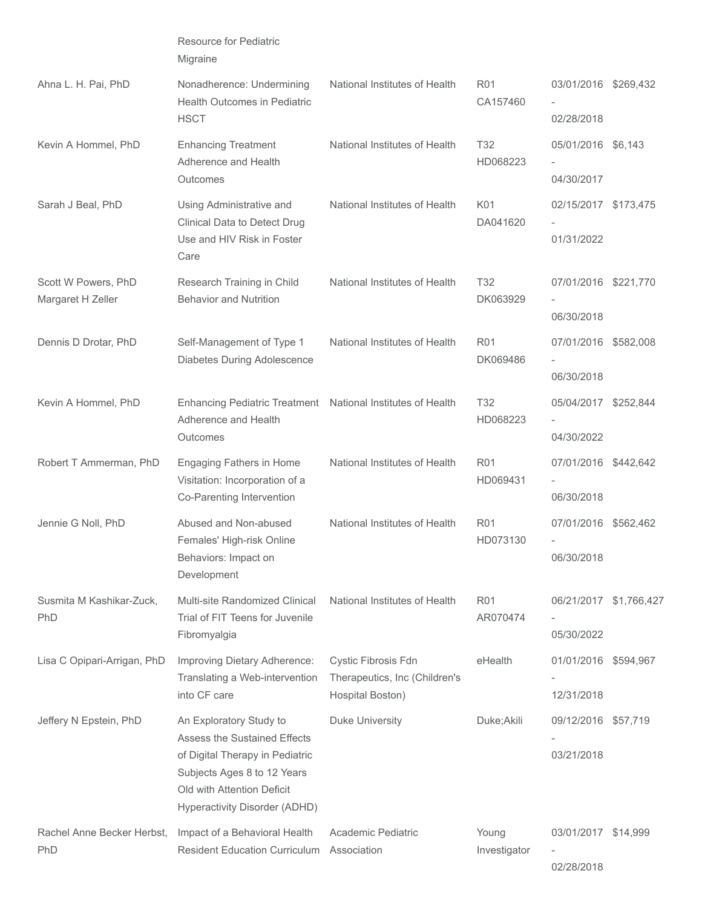|                                          | <b>Resource for Pediatric</b><br>Migraine                                                                                                                                                |                                                                          |                             |                                                                |          |
|------------------------------------------|------------------------------------------------------------------------------------------------------------------------------------------------------------------------------------------|--------------------------------------------------------------------------|-----------------------------|----------------------------------------------------------------|----------|
| Ahna L. H. Pai, PhD                      | Nonadherence: Undermining<br>Health Outcomes in Pediatric                                                                                                                                | National Institutes of Health                                            | <b>R01</b><br>CA157460      | 03/01/2016 \$269,432                                           |          |
|                                          | <b>HSCT</b>                                                                                                                                                                              |                                                                          |                             | 02/28/2018                                                     |          |
| Kevin A Hommel, PhD                      | <b>Enhancing Treatment</b><br>Adherence and Health<br>Outcomes                                                                                                                           | National Institutes of Health                                            | T <sub>32</sub><br>HD068223 | 05/01/2016 \$6,143<br>04/30/2017                               |          |
| Sarah J Beal, PhD                        | Using Administrative and<br>Clinical Data to Detect Drug<br>Use and HIV Risk in Foster<br>Care                                                                                           | National Institutes of Health                                            | K01<br>DA041620             | 02/15/2017 \$173,475<br>01/31/2022                             |          |
| Scott W Powers, PhD<br>Margaret H Zeller | Research Training in Child<br><b>Behavior and Nutrition</b>                                                                                                                              | National Institutes of Health                                            | <b>T32</b><br>DK063929      | 07/01/2016 \$221,770<br>06/30/2018                             |          |
| Dennis D Drotar, PhD                     | Self-Management of Type 1<br>Diabetes During Adolescence                                                                                                                                 | National Institutes of Health                                            | <b>R01</b><br>DK069486      | 07/01/2016 \$582,008<br>06/30/2018                             |          |
| Kevin A Hommel, PhD                      | Enhancing Pediatric Treatment National Institutes of Health<br>Adherence and Health<br>Outcomes                                                                                          |                                                                          | T <sub>32</sub><br>HD068223 | 05/04/2017 \$252,844<br>04/30/2022                             |          |
| Robert T Ammerman, PhD                   | Engaging Fathers in Home<br>Visitation: Incorporation of a<br>Co-Parenting Intervention                                                                                                  | National Institutes of Health                                            | <b>R01</b><br>HD069431      | 07/01/2016 \$442,642<br>06/30/2018                             |          |
| Jennie G Noll, PhD                       | Abused and Non-abused<br>Females' High-risk Online<br>Behaviors: Impact on<br>Development                                                                                                | National Institutes of Health                                            | R <sub>01</sub><br>HD073130 | 07/01/2016 \$562,462<br>$\overline{\phantom{a}}$<br>06/30/2018 |          |
| Susmita M Kashikar-Zuck,<br>PhD          | Multi-site Randomized Clinical<br>Trial of FIT Teens for Juvenile<br>Fibromyalgia                                                                                                        | National Institutes of Health                                            | <b>R01</b><br>AR070474      | 06/21/2017 \$1,766,427<br>05/30/2022                           |          |
| Lisa C Opipari-Arrigan, PhD              | Improving Dietary Adherence:<br>Translating a Web-intervention<br>into CF care                                                                                                           | Cystic Fibrosis Fdn<br>Therapeutics, Inc (Children's<br>Hospital Boston) | eHealth                     | 01/01/2016 \$594,967<br>12/31/2018                             |          |
| Jeffery N Epstein, PhD                   | An Exploratory Study to<br>Assess the Sustained Effects<br>of Digital Therapy in Pediatric<br>Subjects Ages 8 to 12 Years<br>Old with Attention Deficit<br>Hyperactivity Disorder (ADHD) | <b>Duke University</b>                                                   | Duke; Akili                 | 09/12/2016<br>03/21/2018                                       | \$57,719 |
| Rachel Anne Becker Herbst,<br>PhD        | Impact of a Behavioral Health<br><b>Resident Education Curriculum</b>                                                                                                                    | Academic Pediatric<br>Association                                        | Young<br>Investigator       | 03/01/2017 \$14,999<br>02/28/2018                              |          |